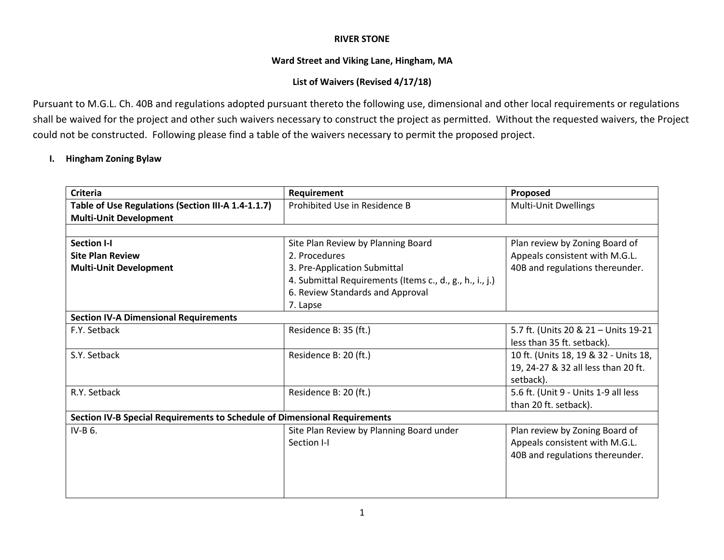#### **RIVER STONE**

### **Ward Street and Viking Lane, Hingham, MA**

# **List of Waivers (Revised 4/17/18)**

Pursuant to M.G.L. Ch. 40B and regulations adopted pursuant thereto the following use, dimensional and other local requirements or regulations shall be waived for the project and other such waivers necessary to construct the project as permitted. Without the requested waivers, the Project could not be constructed. Following please find a table of the waivers necessary to permit the proposed project.

# **I. Hingham Zoning Bylaw**

| <b>Criteria</b>                                                           | Requirement                                              | Proposed                              |
|---------------------------------------------------------------------------|----------------------------------------------------------|---------------------------------------|
| Table of Use Regulations (Section III-A 1.4-1.1.7)                        | Prohibited Use in Residence B                            | Multi-Unit Dwellings                  |
| <b>Multi-Unit Development</b>                                             |                                                          |                                       |
|                                                                           |                                                          |                                       |
| <b>Section I-I</b>                                                        | Site Plan Review by Planning Board                       | Plan review by Zoning Board of        |
| <b>Site Plan Review</b>                                                   | 2. Procedures                                            | Appeals consistent with M.G.L.        |
| <b>Multi-Unit Development</b>                                             | 3. Pre-Application Submittal                             | 40B and regulations thereunder.       |
|                                                                           | 4. Submittal Requirements (Items c., d., g., h., i., j.) |                                       |
|                                                                           | 6. Review Standards and Approval                         |                                       |
|                                                                           | 7. Lapse                                                 |                                       |
| <b>Section IV-A Dimensional Requirements</b>                              |                                                          |                                       |
| F.Y. Setback                                                              | Residence B: 35 (ft.)                                    | 5.7 ft. (Units 20 & 21 - Units 19-21  |
|                                                                           |                                                          | less than 35 ft. setback).            |
| S.Y. Setback                                                              | Residence B: 20 (ft.)                                    | 10 ft. (Units 18, 19 & 32 - Units 18, |
|                                                                           |                                                          | 19, 24-27 & 32 all less than 20 ft.   |
|                                                                           |                                                          | setback).                             |
| R.Y. Setback                                                              | Residence B: 20 (ft.)                                    | 5.6 ft. (Unit 9 - Units 1-9 all less  |
|                                                                           |                                                          | than 20 ft. setback).                 |
| Section IV-B Special Requirements to Schedule of Dimensional Requirements |                                                          |                                       |
| IV-B 6.                                                                   | Site Plan Review by Planning Board under                 | Plan review by Zoning Board of        |
|                                                                           | Section I-I                                              | Appeals consistent with M.G.L.        |
|                                                                           |                                                          | 40B and regulations thereunder.       |
|                                                                           |                                                          |                                       |
|                                                                           |                                                          |                                       |
|                                                                           |                                                          |                                       |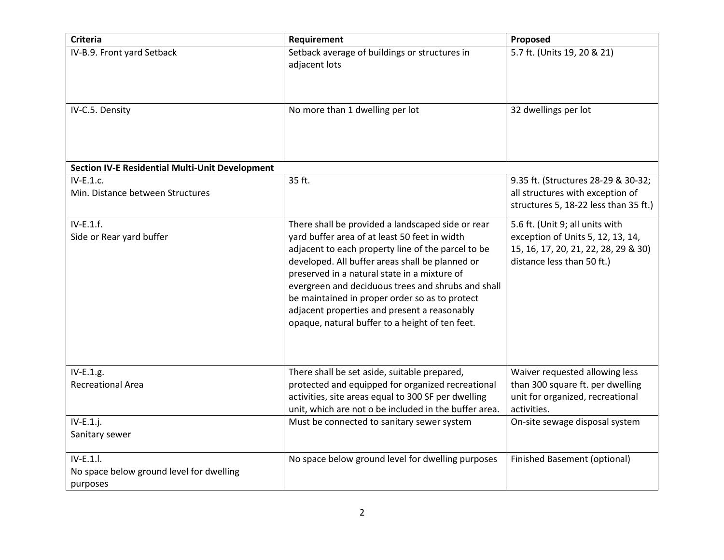| <b>Criteria</b>                                                   | Requirement                                                                                                                                                                                                                                                                                                                                                                                                                                                            | Proposed                                                                                                                                   |
|-------------------------------------------------------------------|------------------------------------------------------------------------------------------------------------------------------------------------------------------------------------------------------------------------------------------------------------------------------------------------------------------------------------------------------------------------------------------------------------------------------------------------------------------------|--------------------------------------------------------------------------------------------------------------------------------------------|
| IV-B.9. Front yard Setback                                        | Setback average of buildings or structures in<br>adjacent lots                                                                                                                                                                                                                                                                                                                                                                                                         | 5.7 ft. (Units 19, 20 & 21)                                                                                                                |
| IV-C.5. Density                                                   | No more than 1 dwelling per lot                                                                                                                                                                                                                                                                                                                                                                                                                                        | 32 dwellings per lot                                                                                                                       |
| <b>Section IV-E Residential Multi-Unit Development</b>            |                                                                                                                                                                                                                                                                                                                                                                                                                                                                        |                                                                                                                                            |
| IV-E.1.c.<br>Min. Distance between Structures                     | 35 ft.                                                                                                                                                                                                                                                                                                                                                                                                                                                                 | 9.35 ft. (Structures 28-29 & 30-32;<br>all structures with exception of<br>structures 5, 18-22 less than 35 ft.)                           |
| $IV-E.1.f.$<br>Side or Rear yard buffer                           | There shall be provided a landscaped side or rear<br>yard buffer area of at least 50 feet in width<br>adjacent to each property line of the parcel to be<br>developed. All buffer areas shall be planned or<br>preserved in a natural state in a mixture of<br>evergreen and deciduous trees and shrubs and shall<br>be maintained in proper order so as to protect<br>adjacent properties and present a reasonably<br>opaque, natural buffer to a height of ten feet. | 5.6 ft. (Unit 9; all units with<br>exception of Units 5, 12, 13, 14,<br>15, 16, 17, 20, 21, 22, 28, 29 & 30)<br>distance less than 50 ft.) |
| IV-E.1.g.<br><b>Recreational Area</b>                             | There shall be set aside, suitable prepared,<br>protected and equipped for organized recreational<br>activities, site areas equal to 300 SF per dwelling<br>unit, which are not o be included in the buffer area.                                                                                                                                                                                                                                                      | Waiver requested allowing less<br>than 300 square ft. per dwelling<br>unit for organized, recreational<br>activities.                      |
| $IV-E.1.j.$<br>Sanitary sewer                                     | Must be connected to sanitary sewer system                                                                                                                                                                                                                                                                                                                                                                                                                             | On-site sewage disposal system                                                                                                             |
| IV-E.1.I.<br>No space below ground level for dwelling<br>purposes | No space below ground level for dwelling purposes                                                                                                                                                                                                                                                                                                                                                                                                                      | <b>Finished Basement (optional)</b>                                                                                                        |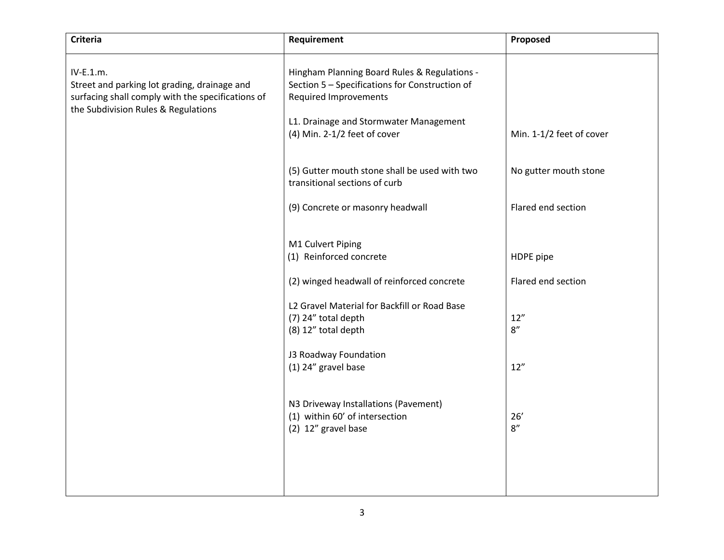| <b>Criteria</b>                                                                                                                                       | Requirement                                                                                                                                                                                              | Proposed                 |
|-------------------------------------------------------------------------------------------------------------------------------------------------------|----------------------------------------------------------------------------------------------------------------------------------------------------------------------------------------------------------|--------------------------|
| IV-E.1.m.<br>Street and parking lot grading, drainage and<br>surfacing shall comply with the specifications of<br>the Subdivision Rules & Regulations | Hingham Planning Board Rules & Regulations -<br>Section 5 - Specifications for Construction of<br><b>Required Improvements</b><br>L1. Drainage and Stormwater Management<br>(4) Min. 2-1/2 feet of cover | Min. 1-1/2 feet of cover |
|                                                                                                                                                       | (5) Gutter mouth stone shall be used with two<br>transitional sections of curb                                                                                                                           | No gutter mouth stone    |
|                                                                                                                                                       | (9) Concrete or masonry headwall                                                                                                                                                                         | Flared end section       |
|                                                                                                                                                       | M1 Culvert Piping<br>(1) Reinforced concrete                                                                                                                                                             | HDPE pipe                |
|                                                                                                                                                       | (2) winged headwall of reinforced concrete                                                                                                                                                               | Flared end section       |
|                                                                                                                                                       | L2 Gravel Material for Backfill or Road Base<br>(7) 24" total depth<br>(8) 12" total depth                                                                                                               | 12"<br>$8''$             |
|                                                                                                                                                       | J3 Roadway Foundation<br>(1) 24" gravel base                                                                                                                                                             | 12"                      |
|                                                                                                                                                       | N3 Driveway Installations (Pavement)<br>(1) within 60' of intersection<br>(2) 12" gravel base                                                                                                            | 26'<br>$8''$             |
|                                                                                                                                                       |                                                                                                                                                                                                          |                          |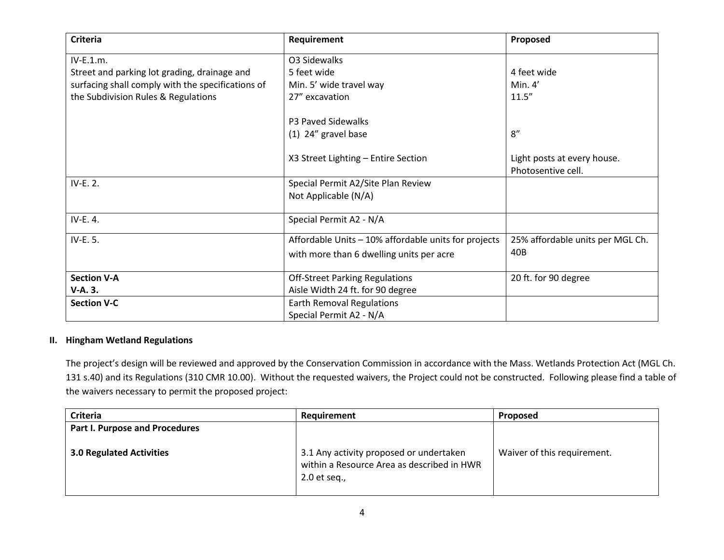| <b>Criteria</b>                                   | Requirement                                          | Proposed                                          |
|---------------------------------------------------|------------------------------------------------------|---------------------------------------------------|
| IV-E.1.m.                                         | O3 Sidewalks                                         |                                                   |
| Street and parking lot grading, drainage and      | 5 feet wide                                          | 4 feet wide                                       |
| surfacing shall comply with the specifications of | Min. 5' wide travel way                              | Min. $4'$                                         |
| the Subdivision Rules & Regulations               | 27" excavation                                       | 11.5''                                            |
|                                                   | P3 Paved Sidewalks                                   |                                                   |
|                                                   | (1) 24" gravel base                                  | 8''                                               |
|                                                   | X3 Street Lighting - Entire Section                  | Light posts at every house.<br>Photosentive cell. |
| IV-E. 2.                                          | Special Permit A2/Site Plan Review                   |                                                   |
|                                                   | Not Applicable (N/A)                                 |                                                   |
| IV-E. 4.                                          | Special Permit A2 - N/A                              |                                                   |
| IV-E. 5.                                          | Affordable Units - 10% affordable units for projects | 25% affordable units per MGL Ch.                  |
|                                                   | with more than 6 dwelling units per acre             | 40 <sub>B</sub>                                   |
| <b>Section V-A</b>                                | <b>Off-Street Parking Regulations</b>                | 20 ft. for 90 degree                              |
| V-A. 3.                                           | Aisle Width 24 ft. for 90 degree                     |                                                   |
| <b>Section V-C</b>                                | Earth Removal Regulations                            |                                                   |
|                                                   | Special Permit A2 - N/A                              |                                                   |

#### **II. Hingham Wetland Regulations**

The project's design will be reviewed and approved by the Conservation Commission in accordance with the Mass. Wetlands Protection Act (MGL Ch. 131 s.40) and its Regulations (310 CMR 10.00). Without the requested waivers, the Project could not be constructed. Following please find a table of the waivers necessary to permit the proposed project:

| Criteria                        | Requirement                                                                                             | <b>Proposed</b>             |
|---------------------------------|---------------------------------------------------------------------------------------------------------|-----------------------------|
| Part I. Purpose and Procedures  |                                                                                                         |                             |
| <b>3.0 Regulated Activities</b> | 3.1 Any activity proposed or undertaken<br>within a Resource Area as described in HWR<br>$2.0$ et seq., | Waiver of this requirement. |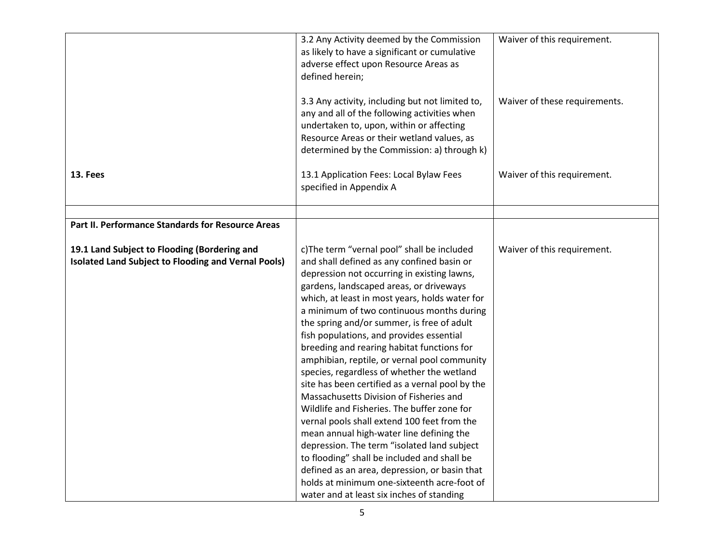|                                                     | 3.2 Any Activity deemed by the Commission<br>as likely to have a significant or cumulative<br>adverse effect upon Resource Areas as<br>defined herein;<br>3.3 Any activity, including but not limited to,<br>any and all of the following activities when<br>undertaken to, upon, within or affecting<br>Resource Areas or their wetland values, as<br>determined by the Commission: a) through k) | Waiver of this requirement.<br>Waiver of these requirements. |
|-----------------------------------------------------|----------------------------------------------------------------------------------------------------------------------------------------------------------------------------------------------------------------------------------------------------------------------------------------------------------------------------------------------------------------------------------------------------|--------------------------------------------------------------|
| 13. Fees                                            | 13.1 Application Fees: Local Bylaw Fees<br>specified in Appendix A                                                                                                                                                                                                                                                                                                                                 | Waiver of this requirement.                                  |
|                                                     |                                                                                                                                                                                                                                                                                                                                                                                                    |                                                              |
| Part II. Performance Standards for Resource Areas   |                                                                                                                                                                                                                                                                                                                                                                                                    |                                                              |
|                                                     |                                                                                                                                                                                                                                                                                                                                                                                                    |                                                              |
| 19.1 Land Subject to Flooding (Bordering and        | c)The term "vernal pool" shall be included                                                                                                                                                                                                                                                                                                                                                         | Waiver of this requirement.                                  |
| Isolated Land Subject to Flooding and Vernal Pools) | and shall defined as any confined basin or                                                                                                                                                                                                                                                                                                                                                         |                                                              |
|                                                     | depression not occurring in existing lawns,                                                                                                                                                                                                                                                                                                                                                        |                                                              |
|                                                     | gardens, landscaped areas, or driveways                                                                                                                                                                                                                                                                                                                                                            |                                                              |
|                                                     | which, at least in most years, holds water for<br>a minimum of two continuous months during                                                                                                                                                                                                                                                                                                        |                                                              |
|                                                     | the spring and/or summer, is free of adult                                                                                                                                                                                                                                                                                                                                                         |                                                              |
|                                                     | fish populations, and provides essential                                                                                                                                                                                                                                                                                                                                                           |                                                              |
|                                                     | breeding and rearing habitat functions for                                                                                                                                                                                                                                                                                                                                                         |                                                              |
|                                                     | amphibian, reptile, or vernal pool community                                                                                                                                                                                                                                                                                                                                                       |                                                              |
|                                                     | species, regardless of whether the wetland                                                                                                                                                                                                                                                                                                                                                         |                                                              |
|                                                     | site has been certified as a vernal pool by the                                                                                                                                                                                                                                                                                                                                                    |                                                              |
|                                                     | Massachusetts Division of Fisheries and                                                                                                                                                                                                                                                                                                                                                            |                                                              |
|                                                     | Wildlife and Fisheries. The buffer zone for                                                                                                                                                                                                                                                                                                                                                        |                                                              |
|                                                     | vernal pools shall extend 100 feet from the                                                                                                                                                                                                                                                                                                                                                        |                                                              |
|                                                     | mean annual high-water line defining the                                                                                                                                                                                                                                                                                                                                                           |                                                              |
|                                                     | depression. The term "isolated land subject                                                                                                                                                                                                                                                                                                                                                        |                                                              |
|                                                     | to flooding" shall be included and shall be                                                                                                                                                                                                                                                                                                                                                        |                                                              |
|                                                     | defined as an area, depression, or basin that<br>holds at minimum one-sixteenth acre-foot of                                                                                                                                                                                                                                                                                                       |                                                              |
|                                                     |                                                                                                                                                                                                                                                                                                                                                                                                    |                                                              |
|                                                     | water and at least six inches of standing                                                                                                                                                                                                                                                                                                                                                          |                                                              |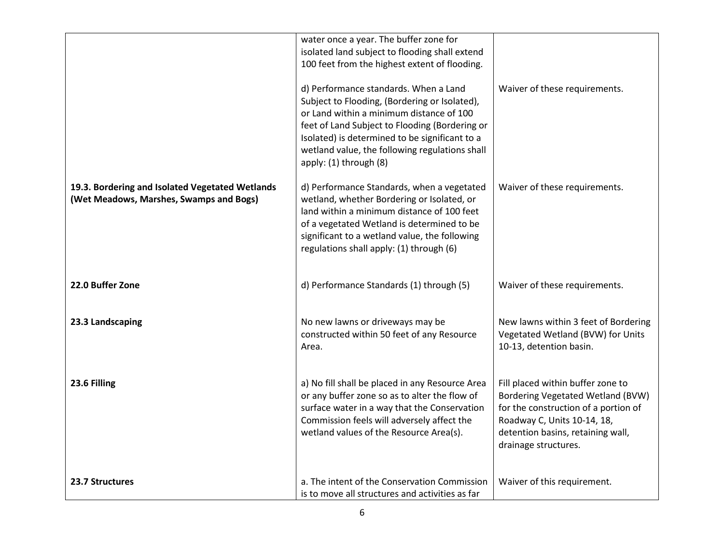|                                                                                            | water once a year. The buffer zone for<br>isolated land subject to flooding shall extend<br>100 feet from the highest extent of flooding.                                                                                                                                                                          |                                                                                                                                                                                                            |
|--------------------------------------------------------------------------------------------|--------------------------------------------------------------------------------------------------------------------------------------------------------------------------------------------------------------------------------------------------------------------------------------------------------------------|------------------------------------------------------------------------------------------------------------------------------------------------------------------------------------------------------------|
|                                                                                            | d) Performance standards. When a Land<br>Subject to Flooding, (Bordering or Isolated),<br>or Land within a minimum distance of 100<br>feet of Land Subject to Flooding (Bordering or<br>Isolated) is determined to be significant to a<br>wetland value, the following regulations shall<br>apply: (1) through (8) | Waiver of these requirements.                                                                                                                                                                              |
| 19.3. Bordering and Isolated Vegetated Wetlands<br>(Wet Meadows, Marshes, Swamps and Bogs) | d) Performance Standards, when a vegetated<br>wetland, whether Bordering or Isolated, or<br>land within a minimum distance of 100 feet<br>of a vegetated Wetland is determined to be<br>significant to a wetland value, the following<br>regulations shall apply: (1) through (6)                                  | Waiver of these requirements.                                                                                                                                                                              |
| 22.0 Buffer Zone                                                                           | d) Performance Standards (1) through (5)                                                                                                                                                                                                                                                                           | Waiver of these requirements.                                                                                                                                                                              |
| 23.3 Landscaping                                                                           | No new lawns or driveways may be<br>constructed within 50 feet of any Resource<br>Area.                                                                                                                                                                                                                            | New lawns within 3 feet of Bordering<br>Vegetated Wetland (BVW) for Units<br>10-13, detention basin.                                                                                                       |
| 23.6 Filling                                                                               | a) No fill shall be placed in any Resource Area<br>or any buffer zone so as to alter the flow of<br>surface water in a way that the Conservation<br>Commission feels will adversely affect the<br>wetland values of the Resource Area(s).                                                                          | Fill placed within buffer zone to<br>Bordering Vegetated Wetland (BVW)<br>for the construction of a portion of<br>Roadway C, Units 10-14, 18,<br>detention basins, retaining wall,<br>drainage structures. |
| 23.7 Structures                                                                            | a. The intent of the Conservation Commission<br>is to move all structures and activities as far                                                                                                                                                                                                                    | Waiver of this requirement.                                                                                                                                                                                |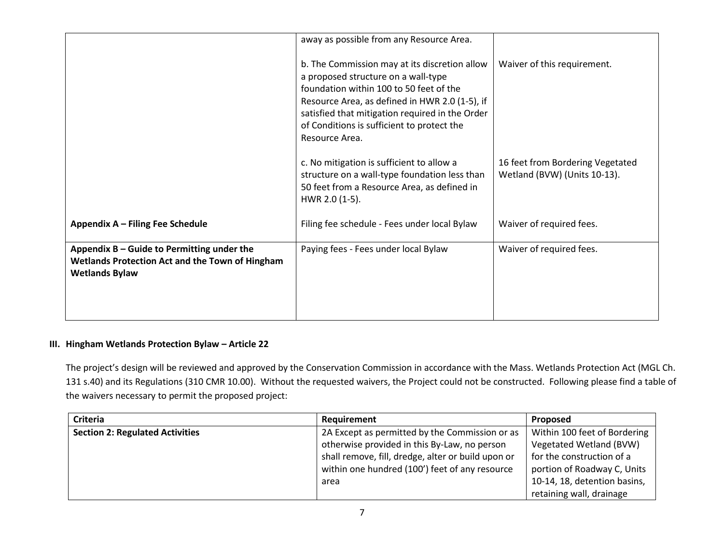|                                                                                                                                 | away as possible from any Resource Area.                                                                                                                                                                                                                                                             |                                                                  |
|---------------------------------------------------------------------------------------------------------------------------------|------------------------------------------------------------------------------------------------------------------------------------------------------------------------------------------------------------------------------------------------------------------------------------------------------|------------------------------------------------------------------|
|                                                                                                                                 | b. The Commission may at its discretion allow<br>a proposed structure on a wall-type<br>foundation within 100 to 50 feet of the<br>Resource Area, as defined in HWR 2.0 (1-5), if<br>satisfied that mitigation required in the Order<br>of Conditions is sufficient to protect the<br>Resource Area. | Waiver of this requirement.                                      |
|                                                                                                                                 | c. No mitigation is sufficient to allow a<br>structure on a wall-type foundation less than<br>50 feet from a Resource Area, as defined in<br>HWR 2.0 (1-5).                                                                                                                                          | 16 feet from Bordering Vegetated<br>Wetland (BVW) (Units 10-13). |
| Appendix A - Filing Fee Schedule                                                                                                | Filing fee schedule - Fees under local Bylaw                                                                                                                                                                                                                                                         | Waiver of required fees.                                         |
| Appendix $B -$ Guide to Permitting under the<br><b>Wetlands Protection Act and the Town of Hingham</b><br><b>Wetlands Bylaw</b> | Paying fees - Fees under local Bylaw                                                                                                                                                                                                                                                                 | Waiver of required fees.                                         |

### **III. Hingham Wetlands Protection Bylaw – Article 22**

The project's design will be reviewed and approved by the Conservation Commission in accordance with the Mass. Wetlands Protection Act (MGL Ch. 131 s.40) and its Regulations (310 CMR 10.00). Without the requested waivers, the Project could not be constructed. Following please find a table of the waivers necessary to permit the proposed project:

| Criteria                               | Requirement                                        | <b>Proposed</b>              |
|----------------------------------------|----------------------------------------------------|------------------------------|
| <b>Section 2: Regulated Activities</b> | 2A Except as permitted by the Commission or as     | Within 100 feet of Bordering |
|                                        | otherwise provided in this By-Law, no person       | Vegetated Wetland (BVW)      |
|                                        | shall remove, fill, dredge, alter or build upon or | for the construction of a    |
|                                        | within one hundred (100') feet of any resource     | portion of Roadway C, Units  |
|                                        | area                                               | 10-14, 18, detention basins, |
|                                        |                                                    | retaining wall, drainage     |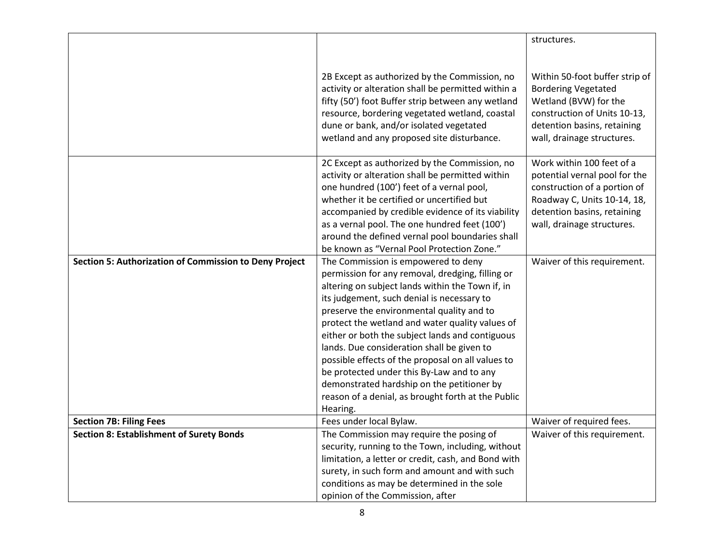|                                                        |                                                                                                                                                                                                                                                                                                     | structures.                                                                                                                                                                        |
|--------------------------------------------------------|-----------------------------------------------------------------------------------------------------------------------------------------------------------------------------------------------------------------------------------------------------------------------------------------------------|------------------------------------------------------------------------------------------------------------------------------------------------------------------------------------|
|                                                        |                                                                                                                                                                                                                                                                                                     |                                                                                                                                                                                    |
|                                                        |                                                                                                                                                                                                                                                                                                     |                                                                                                                                                                                    |
|                                                        | 2B Except as authorized by the Commission, no<br>activity or alteration shall be permitted within a<br>fifty (50') foot Buffer strip between any wetland<br>resource, bordering vegetated wetland, coastal<br>dune or bank, and/or isolated vegetated<br>wetland and any proposed site disturbance. | Within 50-foot buffer strip of<br><b>Bordering Vegetated</b><br>Wetland (BVW) for the<br>construction of Units 10-13,<br>detention basins, retaining<br>wall, drainage structures. |
|                                                        | 2C Except as authorized by the Commission, no                                                                                                                                                                                                                                                       | Work within 100 feet of a                                                                                                                                                          |
|                                                        | activity or alteration shall be permitted within                                                                                                                                                                                                                                                    | potential vernal pool for the                                                                                                                                                      |
|                                                        | one hundred (100') feet of a vernal pool,                                                                                                                                                                                                                                                           | construction of a portion of                                                                                                                                                       |
|                                                        | whether it be certified or uncertified but                                                                                                                                                                                                                                                          | Roadway C, Units 10-14, 18,                                                                                                                                                        |
|                                                        | accompanied by credible evidence of its viability                                                                                                                                                                                                                                                   | detention basins, retaining                                                                                                                                                        |
|                                                        | as a vernal pool. The one hundred feet (100')                                                                                                                                                                                                                                                       | wall, drainage structures.                                                                                                                                                         |
|                                                        | around the defined vernal pool boundaries shall                                                                                                                                                                                                                                                     |                                                                                                                                                                                    |
|                                                        | be known as "Vernal Pool Protection Zone."                                                                                                                                                                                                                                                          |                                                                                                                                                                                    |
| Section 5: Authorization of Commission to Deny Project | The Commission is empowered to deny                                                                                                                                                                                                                                                                 | Waiver of this requirement.                                                                                                                                                        |
|                                                        | permission for any removal, dredging, filling or                                                                                                                                                                                                                                                    |                                                                                                                                                                                    |
|                                                        | altering on subject lands within the Town if, in                                                                                                                                                                                                                                                    |                                                                                                                                                                                    |
|                                                        | its judgement, such denial is necessary to                                                                                                                                                                                                                                                          |                                                                                                                                                                                    |
|                                                        | preserve the environmental quality and to                                                                                                                                                                                                                                                           |                                                                                                                                                                                    |
|                                                        | protect the wetland and water quality values of<br>either or both the subject lands and contiguous                                                                                                                                                                                                  |                                                                                                                                                                                    |
|                                                        | lands. Due consideration shall be given to                                                                                                                                                                                                                                                          |                                                                                                                                                                                    |
|                                                        | possible effects of the proposal on all values to                                                                                                                                                                                                                                                   |                                                                                                                                                                                    |
|                                                        | be protected under this By-Law and to any                                                                                                                                                                                                                                                           |                                                                                                                                                                                    |
|                                                        | demonstrated hardship on the petitioner by                                                                                                                                                                                                                                                          |                                                                                                                                                                                    |
|                                                        | reason of a denial, as brought forth at the Public                                                                                                                                                                                                                                                  |                                                                                                                                                                                    |
|                                                        | Hearing.                                                                                                                                                                                                                                                                                            |                                                                                                                                                                                    |
| <b>Section 7B: Filing Fees</b>                         | Fees under local Bylaw.                                                                                                                                                                                                                                                                             | Waiver of required fees.                                                                                                                                                           |
| <b>Section 8: Establishment of Surety Bonds</b>        | The Commission may require the posing of                                                                                                                                                                                                                                                            | Waiver of this requirement.                                                                                                                                                        |
|                                                        | security, running to the Town, including, without                                                                                                                                                                                                                                                   |                                                                                                                                                                                    |
|                                                        | limitation, a letter or credit, cash, and Bond with                                                                                                                                                                                                                                                 |                                                                                                                                                                                    |
|                                                        | surety, in such form and amount and with such                                                                                                                                                                                                                                                       |                                                                                                                                                                                    |
|                                                        | conditions as may be determined in the sole                                                                                                                                                                                                                                                         |                                                                                                                                                                                    |
|                                                        | opinion of the Commission, after                                                                                                                                                                                                                                                                    |                                                                                                                                                                                    |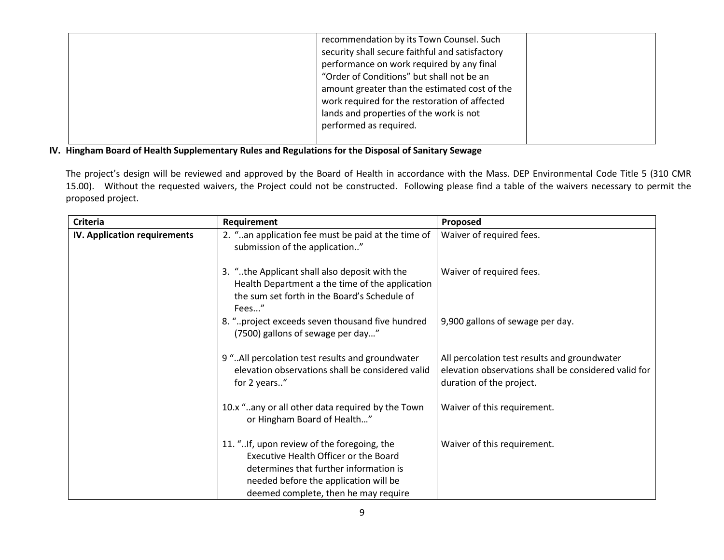| recommendation by its Town Counsel. Such<br>security shall secure faithful and satisfactory<br>performance on work required by any final<br>"Order of Conditions" but shall not be an<br>amount greater than the estimated cost of the<br>work required for the restoration of affected<br>lands and properties of the work is not<br>performed as required. |  |
|--------------------------------------------------------------------------------------------------------------------------------------------------------------------------------------------------------------------------------------------------------------------------------------------------------------------------------------------------------------|--|
|                                                                                                                                                                                                                                                                                                                                                              |  |

# **IV. Hingham Board of Health Supplementary Rules and Regulations for the Disposal of Sanitary Sewage**

The project's design will be reviewed and approved by the Board of Health in accordance with the Mass. DEP Environmental Code Title 5 (310 CMR 15.00). Without the requested waivers, the Project could not be constructed. Following please find a table of the waivers necessary to permit the proposed project.

| <b>Criteria</b>              | Requirement                                                                                                                                                            | Proposed                                                                                                                         |
|------------------------------|------------------------------------------------------------------------------------------------------------------------------------------------------------------------|----------------------------------------------------------------------------------------------------------------------------------|
| IV. Application requirements | 2. "an application fee must be paid at the time of<br>submission of the application"                                                                                   | Waiver of required fees.                                                                                                         |
|                              | 3. "the Applicant shall also deposit with the<br>Health Department a the time of the application<br>the sum set forth in the Board's Schedule of<br>Fees"              | Waiver of required fees.                                                                                                         |
|                              | 8. "project exceeds seven thousand five hundred<br>(7500) gallons of sewage per day"                                                                                   | 9,900 gallons of sewage per day.                                                                                                 |
|                              | 9 " All percolation test results and groundwater<br>elevation observations shall be considered valid<br>for 2 years"                                                   | All percolation test results and groundwater<br>elevation observations shall be considered valid for<br>duration of the project. |
|                              | 10.x "any or all other data required by the Town<br>or Hingham Board of Health"                                                                                        | Waiver of this requirement.                                                                                                      |
|                              | 11. "If, upon review of the foregoing, the<br>Executive Health Officer or the Board<br>determines that further information is<br>needed before the application will be | Waiver of this requirement.                                                                                                      |
|                              | deemed complete, then he may require                                                                                                                                   |                                                                                                                                  |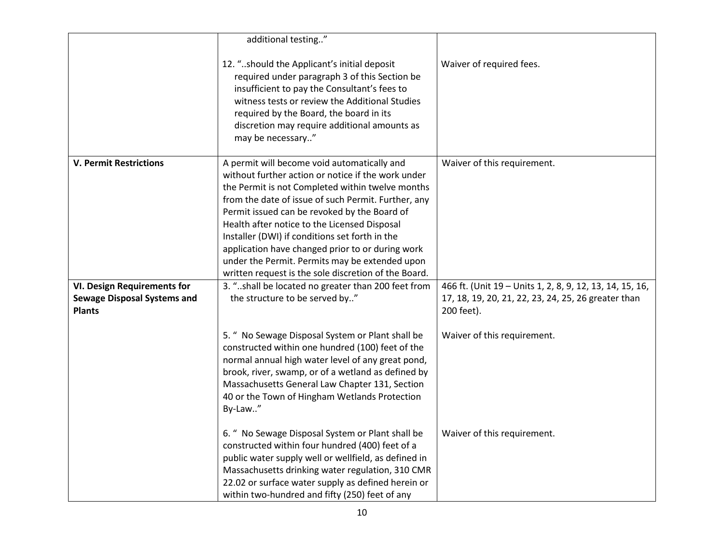|                                                                                           | additional testing"                                                                                                                                                                                                                                                                                                                                                                                                                                                                                                          |                                                                                                                               |
|-------------------------------------------------------------------------------------------|------------------------------------------------------------------------------------------------------------------------------------------------------------------------------------------------------------------------------------------------------------------------------------------------------------------------------------------------------------------------------------------------------------------------------------------------------------------------------------------------------------------------------|-------------------------------------------------------------------------------------------------------------------------------|
|                                                                                           | 12. "should the Applicant's initial deposit<br>required under paragraph 3 of this Section be<br>insufficient to pay the Consultant's fees to<br>witness tests or review the Additional Studies<br>required by the Board, the board in its<br>discretion may require additional amounts as<br>may be necessary"                                                                                                                                                                                                               | Waiver of required fees.                                                                                                      |
| <b>V. Permit Restrictions</b>                                                             | A permit will become void automatically and<br>without further action or notice if the work under<br>the Permit is not Completed within twelve months<br>from the date of issue of such Permit. Further, any<br>Permit issued can be revoked by the Board of<br>Health after notice to the Licensed Disposal<br>Installer (DWI) if conditions set forth in the<br>application have changed prior to or during work<br>under the Permit. Permits may be extended upon<br>written request is the sole discretion of the Board. | Waiver of this requirement.                                                                                                   |
| <b>VI. Design Requirements for</b><br><b>Sewage Disposal Systems and</b><br><b>Plants</b> | 3. "shall be located no greater than 200 feet from<br>the structure to be served by"                                                                                                                                                                                                                                                                                                                                                                                                                                         | 466 ft. (Unit 19 - Units 1, 2, 8, 9, 12, 13, 14, 15, 16,<br>17, 18, 19, 20, 21, 22, 23, 24, 25, 26 greater than<br>200 feet). |
|                                                                                           | 5. " No Sewage Disposal System or Plant shall be<br>constructed within one hundred (100) feet of the<br>normal annual high water level of any great pond,<br>brook, river, swamp, or of a wetland as defined by<br>Massachusetts General Law Chapter 131, Section<br>40 or the Town of Hingham Wetlands Protection<br>By-Law"                                                                                                                                                                                                | Waiver of this requirement.                                                                                                   |
|                                                                                           | 6. " No Sewage Disposal System or Plant shall be<br>constructed within four hundred (400) feet of a<br>public water supply well or wellfield, as defined in<br>Massachusetts drinking water regulation, 310 CMR<br>22.02 or surface water supply as defined herein or<br>within two-hundred and fifty (250) feet of any                                                                                                                                                                                                      | Waiver of this requirement.                                                                                                   |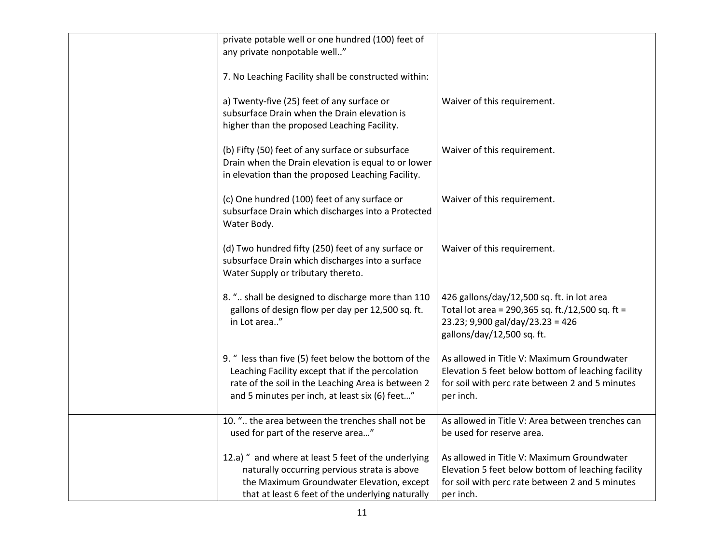| private potable well or one hundred (100) feet of<br>any private nonpotable well"                                                                                                                                |                                                                                                                                                                  |
|------------------------------------------------------------------------------------------------------------------------------------------------------------------------------------------------------------------|------------------------------------------------------------------------------------------------------------------------------------------------------------------|
| 7. No Leaching Facility shall be constructed within:                                                                                                                                                             |                                                                                                                                                                  |
| a) Twenty-five (25) feet of any surface or<br>subsurface Drain when the Drain elevation is<br>higher than the proposed Leaching Facility.                                                                        | Waiver of this requirement.                                                                                                                                      |
| (b) Fifty (50) feet of any surface or subsurface<br>Drain when the Drain elevation is equal to or lower<br>in elevation than the proposed Leaching Facility.                                                     | Waiver of this requirement.                                                                                                                                      |
| (c) One hundred (100) feet of any surface or<br>subsurface Drain which discharges into a Protected<br>Water Body.                                                                                                | Waiver of this requirement.                                                                                                                                      |
| (d) Two hundred fifty (250) feet of any surface or<br>subsurface Drain which discharges into a surface<br>Water Supply or tributary thereto.                                                                     | Waiver of this requirement.                                                                                                                                      |
| 8. " shall be designed to discharge more than 110<br>gallons of design flow per day per 12,500 sq. ft.<br>in Lot area"                                                                                           | 426 gallons/day/12,500 sq. ft. in lot area<br>Total lot area = 290,365 sq. ft./12,500 sq. ft =<br>23.23; 9,900 gal/day/23.23 = 426<br>gallons/day/12,500 sq. ft. |
| 9. " less than five (5) feet below the bottom of the<br>Leaching Facility except that if the percolation<br>rate of the soil in the Leaching Area is between 2<br>and 5 minutes per inch, at least six (6) feet" | As allowed in Title V: Maximum Groundwater<br>Elevation 5 feet below bottom of leaching facility<br>for soil with perc rate between 2 and 5 minutes<br>per inch. |
| 10. " the area between the trenches shall not be                                                                                                                                                                 | As allowed in Title V: Area between trenches can                                                                                                                 |
| used for part of the reserve area"                                                                                                                                                                               | be used for reserve area.                                                                                                                                        |
| 12.a) " and where at least 5 feet of the underlying                                                                                                                                                              | As allowed in Title V: Maximum Groundwater                                                                                                                       |
| naturally occurring pervious strata is above<br>the Maximum Groundwater Elevation, except                                                                                                                        | Elevation 5 feet below bottom of leaching facility<br>for soil with perc rate between 2 and 5 minutes                                                            |
| that at least 6 feet of the underlying naturally                                                                                                                                                                 | per inch.                                                                                                                                                        |